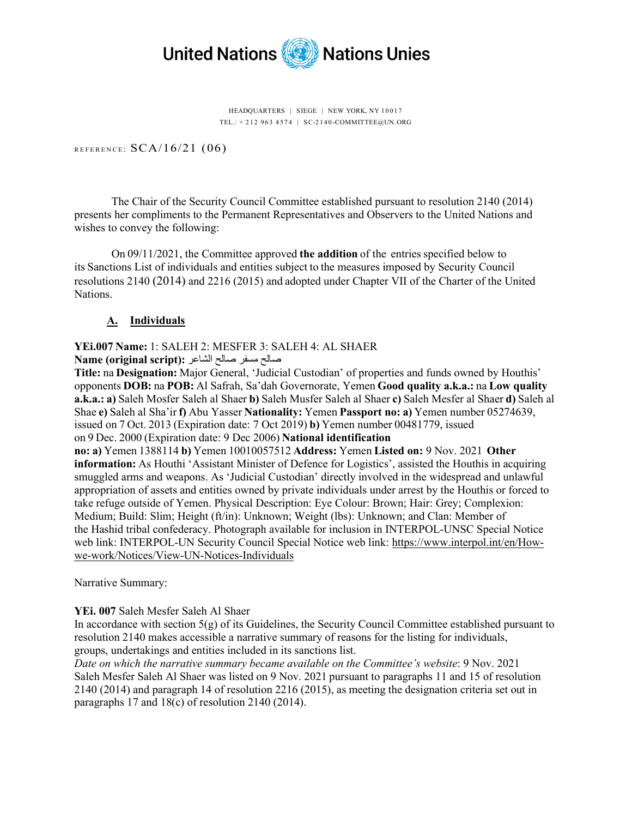

HEADQUARTERS | SIEGE | NEW YORK, NY 10017 TEL.: + 212 963 4574 | S C-2140 -COMMITTEE@UN.ORG

REFERENCE:  $SCA/16/21$  (06)

The Chair of the Security Council Committee established pursuant to resolution 2140 (2014) presents her compliments to the Permanent Representatives and Observers to the United Nations and wishes to convey the following:

On 09/11/2021, the Committee approved **the addition**of the entries specified below to its Sanctions List of individuals and entities subject to the measures imposed by Security Council resolutions 2140 (2014) and 2216 (2015) and adopted under Chapter VII of the Charter of the United Nations.

## **A. Individuals**

# **YEi.007 Name:**1: SALEH 2: MESFER 3: SALEH 4: AL SHAER

صالح مسفر صالح الشاعر**: (script original (Name**

**Title:**na**Designation:**Major General, 'Judicial Custodian' of properties and funds owned by Houthis' opponents**DOB:**na**POB:**Al Safrah, Sa'dah Governorate, Yemen **Good quality a.k.a.:**na**Low quality a.k.a.: a)**Saleh Mosfer Saleh al Shaer **b)**Saleh Musfer Saleh al Shaer**c)**Saleh Mesfer al Shaer **d)**Saleh al Shae **e)**Saleh al Sha'ir **f)**Abu Yasser **Nationality:**Yemen**Passport no: a)**Yemen number 05274639, issued on 7 Oct. 2013 (Expiration date: 7 Oct 2019) **b)**Yemen number 00481779, issued on 9 Dec. 2000 (Expiration date: 9 Dec 2006) **National identification** 

**no: a)** Yemen 1388114**b)**Yemen 10010057512**Address:**Yemen **Listed on:** 9 Nov. 2021**Other information:**As Houthi 'Assistant Minister of Defence for Logistics', assisted the Houthis in acquiring smuggled arms and weapons. As 'Judicial Custodian' directly involved in the widespread and unlawful appropriation of assets and entities owned by private individuals under arrest by the Houthis or forced to take refuge outside of Yemen. Physical Description: Eye Colour: Brown; Hair: Grey; Complexion: Medium; Build: Slim; Height (ft/in): Unknown; Weight (lbs): Unknown; and Clan: Member of the Hashid tribal confederacy. Photograph available for inclusion in INTERPOL-UNSC Special Notice web link: INTERPOL-UN Security Council Special Notice web link: [https://www.interpol.int/en/How](https://www.interpol.int/en/How-we-work/Notices/View-UN-Notices-Individuals)we-work/Notices/View[-UN-Notices-Individuals](https://www.interpol.int/en/How-we-work/Notices/View-UN-Notices-Individuals)

Narrative Summary:

## **YEi. 007** Saleh Mesfer Saleh Al Shaer

In accordance with section  $5(g)$  of its Guidelines, the Security Council Committee established pursuant to resolution 2140 makes accessible a narrative summary of reasons for the listing for individuals, groups, undertakings and entities included in its sanctions list.

*Date on which the narrative summary became available on the Committee's website*: 9 Nov. 2021 Saleh Mesfer Saleh Al Shaer was listed on 9 Nov. 2021 pursuant to paragraphs 11 and 15 of resolution 2140 (2014) and paragraph 14 of resolution 2216 (2015), as meeting the designation criteria set out in paragraphs 17 and 18(c) of resolution 2140 (2014).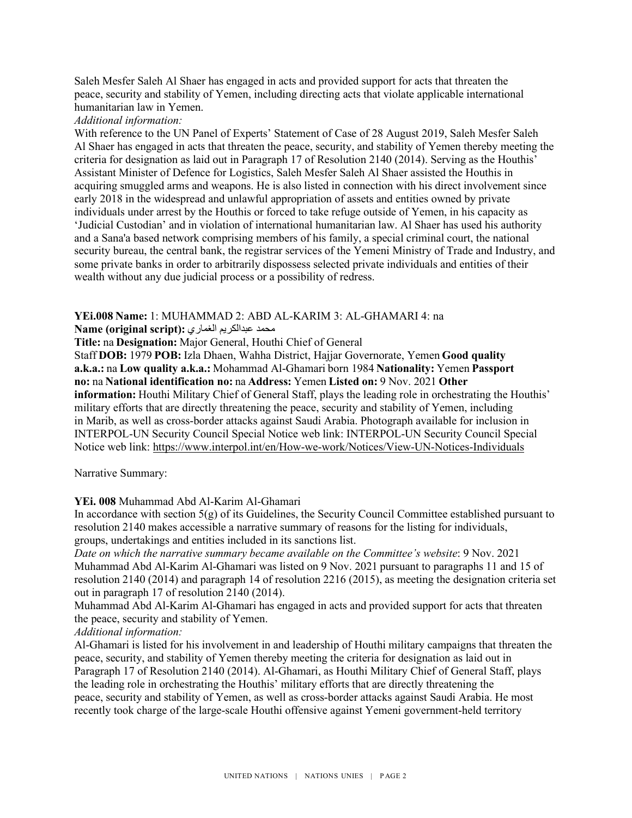Saleh Mesfer Saleh Al Shaer has engaged in acts and provided support for acts that threaten the peace, security and stability of Yemen, including directing acts that violate applicable international humanitarian law in Yemen.

#### *Additional information:*

With reference to the UN Panel of Experts' Statement of Case of 28 August 2019, Saleh Mesfer Saleh Al Shaer has engaged in acts that threaten the peace, security, and stability of Yemen thereby meeting the criteria for designation as laid out in Paragraph 17 of Resolution 2140 (2014). Serving as the Houthis' Assistant Minister of Defence for Logistics, Saleh Mesfer Saleh Al Shaer assisted the Houthis in acquiring smuggled arms and weapons. He is also listed in connection with his direct involvement since early 2018 in the widespread and unlawful appropriation of assets and entities owned by private individuals under arrest by the Houthis or forced to take refuge outside of Yemen, in his capacity as 'Judicial Custodian' and in violation of international humanitarian law. Al Shaer has used his authority and a Sana'a based network comprising members of his family, a special criminal court, the national security bureau, the central bank, the registrar services of the Yemeni Ministry of Trade and Industry, and some private banks in order to arbitrarily dispossess selected private individuals and entities of their wealth without any due judicial process or a possibility of redress.

### **YEi.008 Name:**1: MUHAMMAD 2: ABD AL-KARIM 3: AL-GHAMARI 4: na

### محمد عبدالكریم الغماري**: (script original (Name**

**Title:**na**Designation:**Major General, Houthi Chief of General

Staff **DOB:**1979**POB:**Izla Dhaen, Wahha District, Hajjar Governorate, Yemen **Good quality a.k.a.:**na**Low quality a.k.a.:**Mohammad Al-Ghamari born 1984**Nationality:**Yemen**Passport no:**na**National identification no:**na**Address:**Yemen **Listed on:**9 Nov. 2021**Other information:** Houthi Military Chief of General Staff, plays the leading role in orchestrating the Houthis' military efforts that are directly threatening the peace, security and stability of Yemen, including in Marib, as well as cross-border attacks against Saudi Arabia. Photograph available for inclusion in INTERPOL-UN Security Council Special Notice web link: INTERPOL-UN Security Council Special Notice web link: [https://www.interpol.int/en/How-we-](https://www.interpol.int/en/How-we-work/Notices/View-UN-Notices-Individuals)work/Notices/View-UN-Notices-Individuals

Narrative Summary:

## **YEi. 008** Muhammad Abd Al-Karim Al-Ghamari

In accordance with section  $5(g)$  of its Guidelines, the Security Council Committee established pursuant to resolution 2140 makes accessible a narrative summary of reasons for the listing for individuals, groups, undertakings and entities included in its sanctions list.

*Date on which the narrative summary became available on the Committee's website*: 9 Nov. 2021 Muhammad Abd Al-Karim Al-Ghamari was listed on 9 Nov. 2021 pursuant to paragraphs 11 and 15 of resolution 2140 (2014) and paragraph 14 of resolution 2216 (2015), as meeting the designation criteria set out in paragraph 17 of resolution 2140 (2014).

Muhammad Abd Al-Karim Al-Ghamari has engaged in acts and provided support for acts that threaten the peace, security and stability of Yemen.

## *Additional information:*

Al-Ghamari is listed for his involvement in and leadership of Houthi military campaigns that threaten the peace, security, and stability of Yemen thereby meeting the criteria for designation as laid out in Paragraph 17 of Resolution 2140 (2014). Al-Ghamari, as Houthi Military Chief of General Staff, plays the leading role in orchestrating the Houthis' military efforts that are directly threatening the peace, security and stability of Yemen, as well as cross-border attacks against Saudi Arabia. He most recently took charge of the large-scale Houthi offensive against Yemeni government-held territory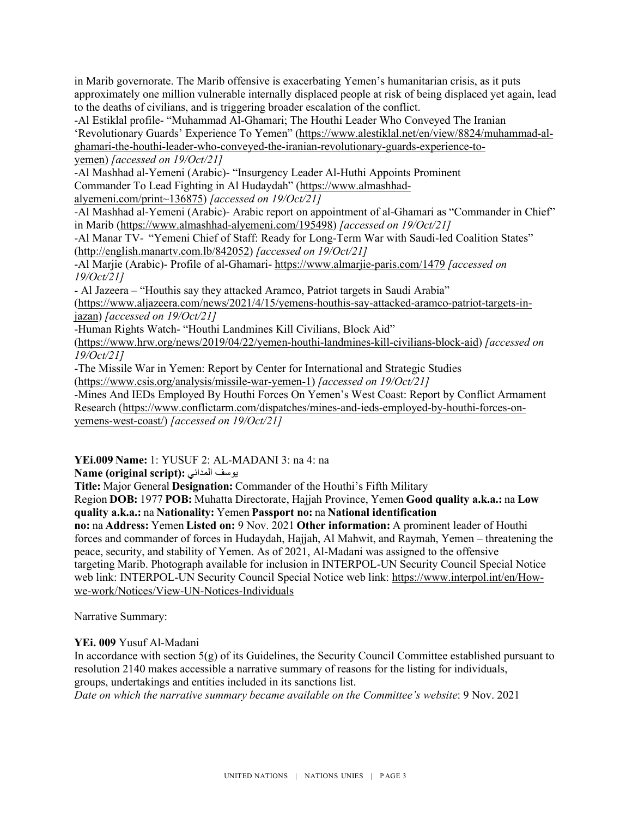in Marib governorate. The Marib offensive is exacerbating Yemen's humanitarian crisis, as it puts approximately one million vulnerable internally displaced people at risk of being displaced yet again, lead to the deaths of civilians, and is triggering broader escalation of the conflict.

-Al Estiklal profile- "Muhammad Al-Ghamari; The Houthi Leader Who Conveyed The Iranian 'Revolutionary Guards' Experience To Yemen" [\(https://www.alestiklal.net/en/view/8824/muhammad](https://www.alestiklal.net/en/view/8824/muhammad-al-ghamari-the-houthi-leader-who-conveyed-the-iranian-revolutionary-guards-experience-to-yemen)-al[ghamari-the-houthi-leader-who-conveyed-the-iranian-revolutionary-guards-](https://www.alestiklal.net/en/view/8824/muhammad-al-ghamari-the-houthi-leader-who-conveyed-the-iranian-revolutionary-guards-experience-to-yemen)experience-to[yemen\)](https://www.alestiklal.net/en/view/8824/muhammad-al-ghamari-the-houthi-leader-who-conveyed-the-iranian-revolutionary-guards-experience-to-yemen) *[accessed on 19/Oct/21]*

-Al Mashhad al-Yemeni (Arabic)- "Insurgency Leader Al-Huthi Appoints Prominent Commander To Lead Fighting in Al Hudaydah" ([https://www.almashhad](https://www.almashhad-alyemeni.com/print%7E136875)[alyemeni.com/print~136875](https://www.almashhad-alyemeni.com/print%7E136875)) *[accessed on 19/Oct/21]*

-Al Mashhad al-Yemeni (Arabic)- Arabic report on appointment of al-Ghamari as "Commander in Chief" in Marib [\(https://www.almashhad-](https://www.almashhad-alyemeni.com/195498)alyemeni.com/195498) *[accessed on 19/Oct/21]*

-Al Manar TV-  "Yemeni Chief of Staff: Ready for Long-Term War with Saudi-led Coalition States" [\(http://english.manartv.com.lb](http://english.manartv.com.lb/842052)/842052) *[accessed on 19/Oct/21]*

-Al Marjie (Arabic)- Profile of al-Ghamari- h[ttps://www.almarjie](https://www.almarjie-paris.com/1479)-paris.com/1479 *[accessed on 19/Oct/21]*

- Al Jazeera – "Houthis say they attacked Aramco, Patriot targets in Saudi Arabia"

([https://www.aljazeera.com/news/2021/4/15/yemens](https://www.aljazeera.com/news/2021/4/15/yemens-houthis-say-attacked-aramco-patriot-targets-in-jazan)-houthis-say-attacked-aramco-patriot-targets-inj[azan\)](https://www.aljazeera.com/news/2021/4/15/yemens-houthis-say-attacked-aramco-patriot-targets-in-jazan) *[accessed on 19/Oct/21]*

-Human Rights Watch- "Houthi Landmines Kill Civilians, Block Aid"

[\(https://www.hrw.org/news/2019/04/22/yemen-houthi-landmines-kill-civilians-block-aid\)](https://www.hrw.org/news/2019/04/22/yemen-houthi-landmines-kill-civilians-block-aid) *[accessed on 19/Oct/21]*

-The Missile War in Yemen: Report by Center for International and Strategic Studies

[\(https://www.csis.org/analysis/missile-war-yemen-1\)](https://www.csis.org/analysis/missile-war-yemen-1) *[accessed on 19/Oct/21]*

-Mines And IEDs Employed By Houthi Forces On Yemen's West Coast: Report by Conflict Armament Research [\(https://www.conflictarm.com/dispatches/mines-and-ieds-employed-by-houthi-forces-on](https://www.conflictarm.com/dispatches/mines-and-ieds-employed-by-houthi-forces-on-yemens-west-coast/)[yemens-west-coast/\)](https://www.conflictarm.com/dispatches/mines-and-ieds-employed-by-houthi-forces-on-yemens-west-coast/) *[accessed on 19/Oct/21]*

**YEi.009 Name:**1: YUSUF 2: AL-MADANI 3: na 4: na

**Name (original script):**المداني یوسف

**Title:**Major General **Designation:**Commander of the Houthi's Fifth Military

Region **DOB:**1977**POB:**Muhatta Directorate, Hajjah Province, Yemen **Good quality a.k.a.:**na**Low quality a.k.a.:**na**Nationality:**Yemen**Passport no:**na**National identification** 

**no:**na**Address:**Yemen **Listed on:** 9 Nov. 2021**Other information:**A prominent leader of Houthi forces and commander of forces in Hudaydah, Hajjah, Al Mahwit, and Raymah, Yemen – threatening the peace, security, and stability of Yemen. As of 2021, Al-Madani was assigned to the offensive targeting Marib. Photograph available for inclusion in INTERPOL-UN Security Council Special Notice web link: INTERPOL-UN Security Council Special Notice web link: [https://www.interpol.int/en/How](https://www.interpol.int/en/How-we-work/Notices/View-UN-Notices-Individuals)we-work/Notices/View[-UN-Notices-Individuals](https://www.interpol.int/en/How-we-work/Notices/View-UN-Notices-Individuals)

Narrative Summary:

# **YEi. 009** Yusuf Al-Madani

In accordance with section  $5(g)$  of its Guidelines, the Security Council Committee established pursuant to resolution 2140 makes accessible a narrative summary of reasons for the listing for individuals, groups, undertakings and entities included in its sanctions list.

*Date on which the narrative summary became available on the Committee's website*: 9 Nov. 2021